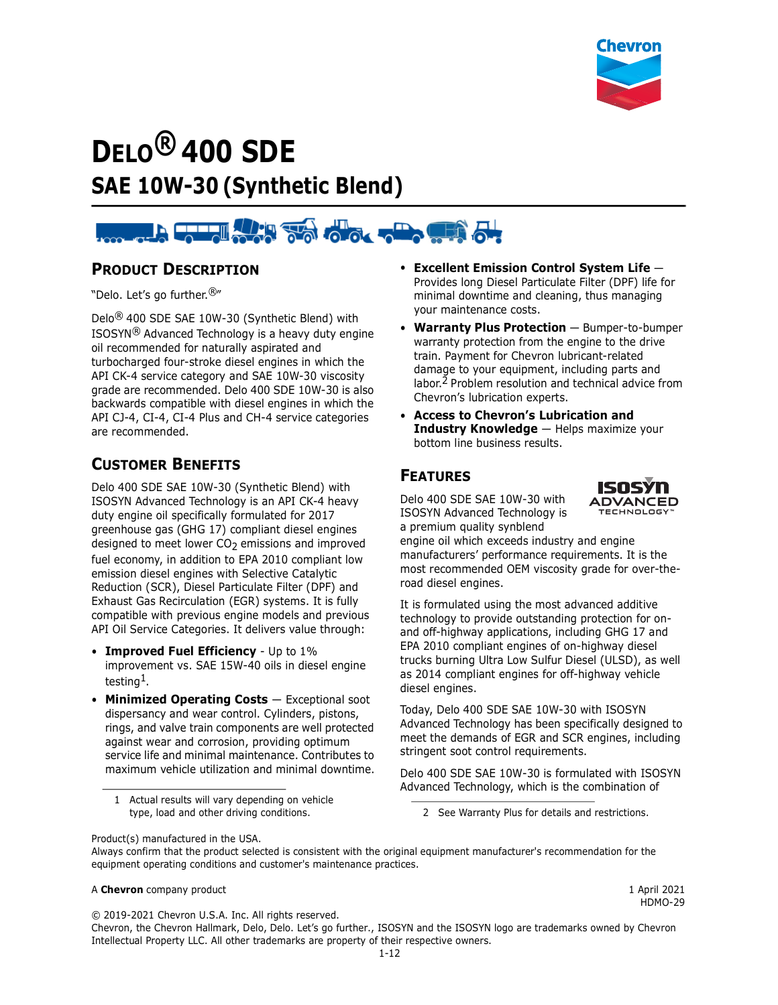

# **DELO® 400 SDE SAE 10W-30 (Synthetic Blend)**

# **BROWN SOLO TO OUR SERVICE**

#### **PRODUCT DESCRIPTION**

"Delo. Let's go further.®"

Delo® 400 SDE SAE 10W-30 (Synthetic Blend) with ISOSYN® Advanced Technology is a heavy duty engine oil recommended for naturally aspirated and turbocharged four-stroke diesel engines in which the API CK-4 service category and SAE 10W-30 viscosity grade are recommended. Delo 400 SDE 10W-30 is also backwards compatible with diesel engines in which the API CJ-4, CI-4, CI-4 Plus and CH-4 service categories are recommended.

## **CUSTOMER BENEFITS**

Delo 400 SDE SAE 10W-30 (Synthetic Blend) with ISOSYN Advanced Technology is an API CK-4 heavy duty engine oil specifically formulated for 2017 greenhouse gas (GHG 17) compliant diesel engines designed to meet lower CO<sub>2</sub> emissions and improved fuel economy, in addition to EPA 2010 compliant low emission diesel engines with Selective Catalytic Reduction (SCR), Diesel Particulate Filter (DPF) and Exhaust Gas Recirculation (EGR) systems. It is fully compatible with previous engine models and previous API Oil Service Categories. It delivers value through:

- **Improved Fuel Efficiency** Up to 1% improvement vs. SAE 15W-40 oils in diesel engine testing1.
- **Minimized Operating Costs**  Exceptional soot dispersancy and wear control. Cylinders, pistons, rings, and valve train components are well protected against wear and corrosion, providing optimum service life and minimal maintenance. Contributes to maximum vehicle utilization and minimal downtime.

1 Actual results will vary depending on vehicle

- **Excellent Emission Control System Life** Provides long Diesel Particulate Filter (DPF) life for minimal downtime and cleaning, thus managing your maintenance costs.
- **Warranty Plus Protection** Bumper-to-bumper warranty protection from the engine to the drive train. Payment for Chevron lubricant-related damage to your equipment, including parts and labor.2 Problem resolution and technical advice from Chevron's lubrication experts.
- **Access to Chevron's Lubrication and Industry Knowledge** — Helps maximize your bottom line business results.

# **FEATURES**

Delo 400 SDE SAE 10W-30 with ISOSYN Advanced Technology is a premium quality synblend



engine oil which exceeds industry and engine manufacturers' performance requirements. It is the most recommended OEM viscosity grade for over-theroad diesel engines.

It is formulated using the most advanced additive technology to provide outstanding protection for onand off-highway applications, including GHG 17 and EPA 2010 compliant engines of on-highway diesel trucks burning Ultra Low Sulfur Diesel (ULSD), as well as 2014 compliant engines for off-highway vehicle diesel engines.

Today, Delo 400 SDE SAE 10W-30 with ISOSYN Advanced Technology has been specifically designed to meet the demands of EGR and SCR engines, including stringent soot control requirements.

Delo 400 SDE SAE 10W-30 is formulated with ISOSYN Advanced Technology, which is the combination of

type, load and other driving conditions. 2 See Warranty Plus for details and restrictions.

Product(s) manufactured in the USA.

#### A **Chevron** company product 1 April 2021

HDMO-29

© 2019-2021 Chevron U.S.A. Inc. All rights reserved.

Chevron, the Chevron Hallmark, Delo, Delo. Let's go further., ISOSYN and the ISOSYN logo are trademarks owned by Chevron Intellectual Property LLC. All other trademarks are property of their respective owners.

Always confirm that the product selected is consistent with the original equipment manufacturer's recommendation for the equipment operating conditions and customer's maintenance practices.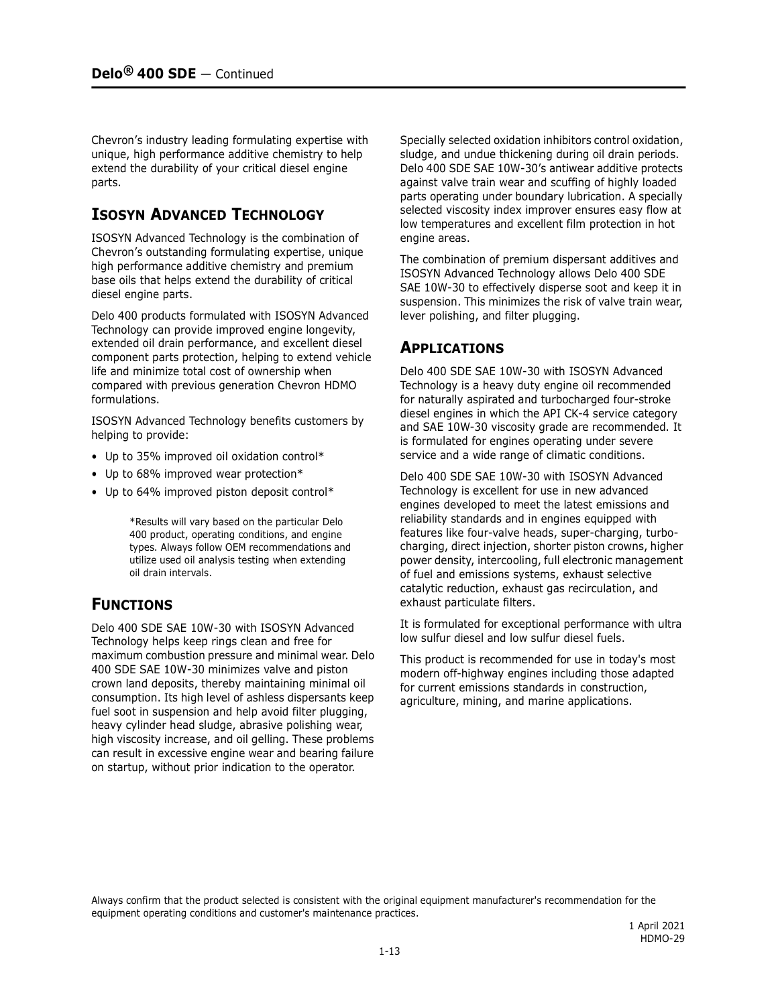Chevron's industry leading formulating expertise with unique, high performance additive chemistry to help extend the durability of your critical diesel engine parts.

## **ISOSYN ADVANCED TECHNOLOGY**

ISOSYN Advanced Technology is the combination of Chevron's outstanding formulating expertise, unique high performance additive chemistry and premium base oils that helps extend the durability of critical diesel engine parts.

Delo 400 products formulated with ISOSYN Advanced Technology can provide improved engine longevity, extended oil drain performance, and excellent diesel component parts protection, helping to extend vehicle life and minimize total cost of ownership when compared with previous generation Chevron HDMO formulations.

ISOSYN Advanced Technology benefits customers by helping to provide:

- Up to 35% improved oil oxidation control\*
- Up to 68% improved wear protection\*
- Up to 64% improved piston deposit control\*

\*Results will vary based on the particular Delo 400 product, operating conditions, and engine types. Always follow OEM recommendations and utilize used oil analysis testing when extending oil drain intervals.

#### **FUNCTIONS**

Delo 400 SDE SAE 10W-30 with ISOSYN Advanced Technology helps keep rings clean and free for maximum combustion pressure and minimal wear. Delo 400 SDE SAE 10W-30 minimizes valve and piston crown land deposits, thereby maintaining minimal oil consumption. Its high level of ashless dispersants keep fuel soot in suspension and help avoid filter plugging, heavy cylinder head sludge, abrasive polishing wear, high viscosity increase, and oil gelling. These problems can result in excessive engine wear and bearing failure on startup, without prior indication to the operator.

Specially selected oxidation inhibitors control oxidation, sludge, and undue thickening during oil drain periods. Delo 400 SDE SAE 10W-30's antiwear additive protects against valve train wear and scuffing of highly loaded parts operating under boundary lubrication. A specially selected viscosity index improver ensures easy flow at low temperatures and excellent film protection in hot engine areas.

The combination of premium dispersant additives and ISOSYN Advanced Technology allows Delo 400 SDE SAE 10W-30 to effectively disperse soot and keep it in suspension. This minimizes the risk of valve train wear, lever polishing, and filter plugging.

#### **APPLICATIONS**

Delo 400 SDE SAE 10W-30 with ISOSYN Advanced Technology is a heavy duty engine oil recommended for naturally aspirated and turbocharged four-stroke diesel engines in which the API CK-4 service category and SAE 10W-30 viscosity grade are recommended. It is formulated for engines operating under severe service and a wide range of climatic conditions.

Delo 400 SDE SAE 10W-30 with ISOSYN Advanced Technology is excellent for use in new advanced engines developed to meet the latest emissions and reliability standards and in engines equipped with features like four-valve heads, super-charging, turbocharging, direct injection, shorter piston crowns, higher power density, intercooling, full electronic management of fuel and emissions systems, exhaust selective catalytic reduction, exhaust gas recirculation, and exhaust particulate filters.

It is formulated for exceptional performance with ultra low sulfur diesel and low sulfur diesel fuels.

This product is recommended for use in today's most modern off-highway engines including those adapted for current emissions standards in construction, agriculture, mining, and marine applications.

Always confirm that the product selected is consistent with the original equipment manufacturer's recommendation for the equipment operating conditions and customer's maintenance practices.